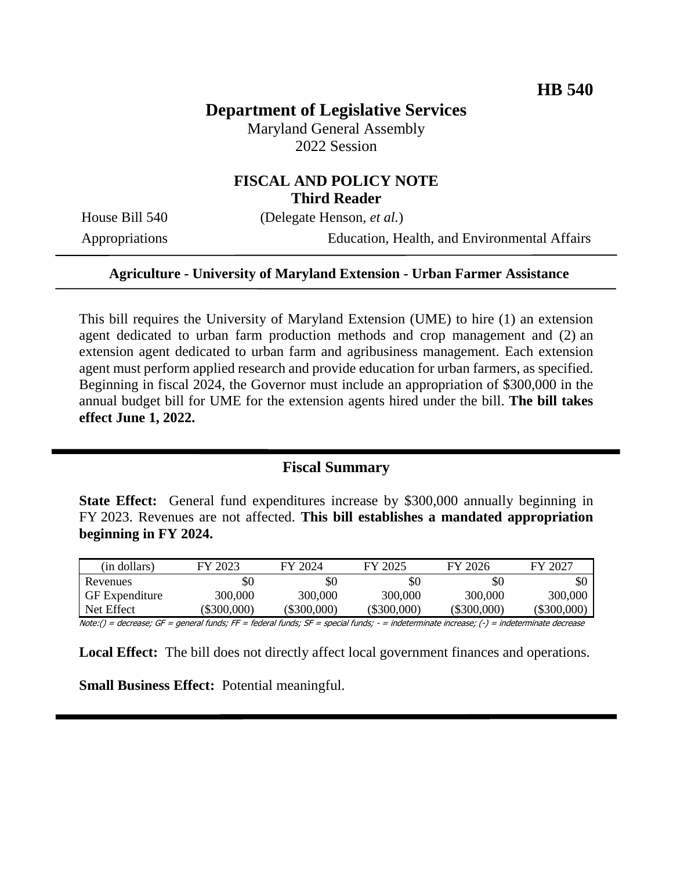# **Department of Legislative Services**

Maryland General Assembly 2022 Session

## **FISCAL AND POLICY NOTE Third Reader**

House Bill 540 (Delegate Henson, *et al.*)

Appropriations Education, Health, and Environmental Affairs

#### **Agriculture - University of Maryland Extension - Urban Farmer Assistance**

This bill requires the University of Maryland Extension (UME) to hire (1) an extension agent dedicated to urban farm production methods and crop management and (2) an extension agent dedicated to urban farm and agribusiness management. Each extension agent must perform applied research and provide education for urban farmers, as specified. Beginning in fiscal 2024, the Governor must include an appropriation of \$300,000 in the annual budget bill for UME for the extension agents hired under the bill. **The bill takes effect June 1, 2022.**

## **Fiscal Summary**

**State Effect:** General fund expenditures increase by \$300,000 annually beginning in FY 2023. Revenues are not affected. **This bill establishes a mandated appropriation beginning in FY 2024.**

| (in dollars)          | FY 2023   | FY 2024       | FY 2025     | FY 2026       | FY 2027     |
|-----------------------|-----------|---------------|-------------|---------------|-------------|
| Revenues              | \$0       | \$0           | \$0         | \$0           | \$0         |
| <b>GF</b> Expenditure | 300,000   | 300,000       | 300,000     | 300,000       | 300,000     |
| Net Effect            | \$300,000 | $(\$300,000)$ | (\$300,000) | $(\$300,000)$ | (\$300,000) |

Note:() = decrease; GF = general funds; FF = federal funds; SF = special funds; - = indeterminate increase; (-) = indeterminate decrease

**Local Effect:** The bill does not directly affect local government finances and operations.

**Small Business Effect:** Potential meaningful.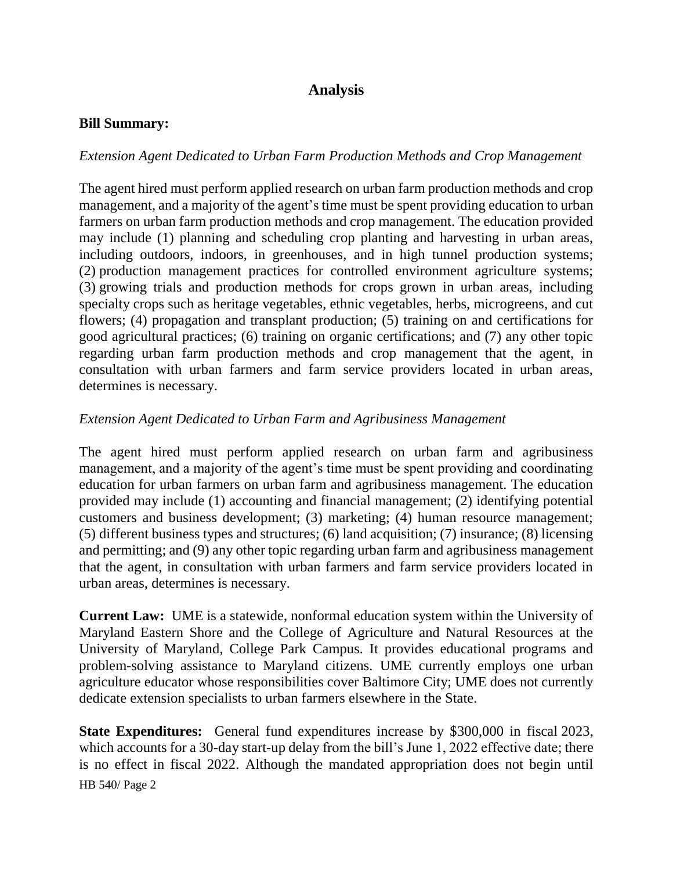# **Analysis**

#### **Bill Summary:**

### *Extension Agent Dedicated to Urban Farm Production Methods and Crop Management*

The agent hired must perform applied research on urban farm production methods and crop management, and a majority of the agent's time must be spent providing education to urban farmers on urban farm production methods and crop management. The education provided may include (1) planning and scheduling crop planting and harvesting in urban areas, including outdoors, indoors, in greenhouses, and in high tunnel production systems; (2) production management practices for controlled environment agriculture systems; (3) growing trials and production methods for crops grown in urban areas, including specialty crops such as heritage vegetables, ethnic vegetables, herbs, microgreens, and cut flowers; (4) propagation and transplant production; (5) training on and certifications for good agricultural practices; (6) training on organic certifications; and (7) any other topic regarding urban farm production methods and crop management that the agent, in consultation with urban farmers and farm service providers located in urban areas, determines is necessary.

### *Extension Agent Dedicated to Urban Farm and Agribusiness Management*

The agent hired must perform applied research on urban farm and agribusiness management, and a majority of the agent's time must be spent providing and coordinating education for urban farmers on urban farm and agribusiness management. The education provided may include (1) accounting and financial management; (2) identifying potential customers and business development; (3) marketing; (4) human resource management; (5) different business types and structures; (6) land acquisition; (7) insurance; (8) licensing and permitting; and (9) any other topic regarding urban farm and agribusiness management that the agent, in consultation with urban farmers and farm service providers located in urban areas, determines is necessary.

**Current Law:** UME is a statewide, nonformal education system within the University of Maryland Eastern Shore and the College of Agriculture and Natural Resources at the University of Maryland, College Park Campus. It provides educational programs and problem-solving assistance to Maryland citizens. UME currently employs one urban agriculture educator whose responsibilities cover Baltimore City; UME does not currently dedicate extension specialists to urban farmers elsewhere in the State.

HB 540/ Page 2 **State Expenditures:** General fund expenditures increase by \$300,000 in fiscal 2023, which accounts for a 30-day start-up delay from the bill's June 1, 2022 effective date; there is no effect in fiscal 2022. Although the mandated appropriation does not begin until